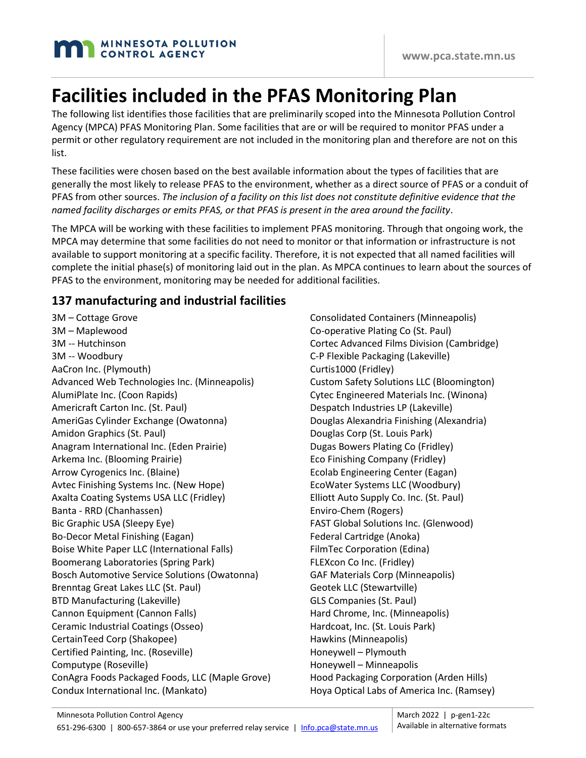# **Facilities included in the PFAS Monitoring Plan**

The following list identifies those facilities that are preliminarily scoped into the Minnesota Pollution Control Agency (MPCA) PFAS Monitoring Plan. Some facilities that are or will be required to monitor PFAS under a permit or other regulatory requirement are not included in the monitoring plan and therefore are not on this list.

These facilities were chosen based on the best available information about the types of facilities that are generally the most likely to release PFAS to the environment, whether as a direct source of PFAS or a conduit of PFAS from other sources. *The inclusion of a facility on this list does not constitute definitive evidence that the named facility discharges or emits PFAS, or that PFAS is present in the area around the facility*.

The MPCA will be working with these facilities to implement PFAS monitoring. Through that ongoing work, the MPCA may determine that some facilities do not need to monitor or that information or infrastructure is not available to support monitoring at a specific facility. Therefore, it is not expected that all named facilities will complete the initial phase(s) of monitoring laid out in the plan. As MPCA continues to learn about the sources of PFAS to the environment, monitoring may be needed for additional facilities.

### **137 manufacturing and industrial facilities**

3M – Cottage Grove 3M – Maplewood 3M -- Hutchinson 3M -- Woodbury AaCron Inc. (Plymouth) Advanced Web Technologies Inc. (Minneapolis) AlumiPlate Inc. (Coon Rapids) Americraft Carton Inc. (St. Paul) AmeriGas Cylinder Exchange (Owatonna) Amidon Graphics (St. Paul) Anagram International Inc. (Eden Prairie) Arkema Inc. (Blooming Prairie) Arrow Cyrogenics Inc. (Blaine) Avtec Finishing Systems Inc. (New Hope) Axalta Coating Systems USA LLC (Fridley) Banta - RRD (Chanhassen) Bic Graphic USA (Sleepy Eye) Bo-Decor Metal Finishing (Eagan) Boise White Paper LLC (International Falls) Boomerang Laboratories (Spring Park) Bosch Automotive Service Solutions (Owatonna) Brenntag Great Lakes LLC (St. Paul) BTD Manufacturing (Lakeville) Cannon Equipment (Cannon Falls) Ceramic Industrial Coatings (Osseo) CertainTeed Corp (Shakopee) Certified Painting, Inc. (Roseville) Computype (Roseville) ConAgra Foods Packaged Foods, LLC (Maple Grove) Condux International Inc. (Mankato)

Consolidated Containers (Minneapolis) Co-operative Plating Co (St. Paul) Cortec Advanced Films Division (Cambridge) C-P Flexible Packaging (Lakeville) Curtis1000 (Fridley) Custom Safety Solutions LLC (Bloomington) Cytec Engineered Materials Inc. (Winona) Despatch Industries LP (Lakeville) Douglas Alexandria Finishing (Alexandria) Douglas Corp (St. Louis Park) Dugas Bowers Plating Co (Fridley) Eco Finishing Company (Fridley) Ecolab Engineering Center (Eagan) EcoWater Systems LLC (Woodbury) Elliott Auto Supply Co. Inc. (St. Paul) Enviro-Chem (Rogers) FAST Global Solutions Inc. (Glenwood) Federal Cartridge (Anoka) FilmTec Corporation (Edina) FLEXcon Co Inc. (Fridley) GAF Materials Corp (Minneapolis) Geotek LLC (Stewartville) GLS Companies (St. Paul) Hard Chrome, Inc. (Minneapolis) Hardcoat, Inc. (St. Louis Park) Hawkins (Minneapolis) Honeywell – Plymouth Honeywell – Minneapolis Hood Packaging Corporation (Arden Hills) Hoya Optical Labs of America Inc. (Ramsey)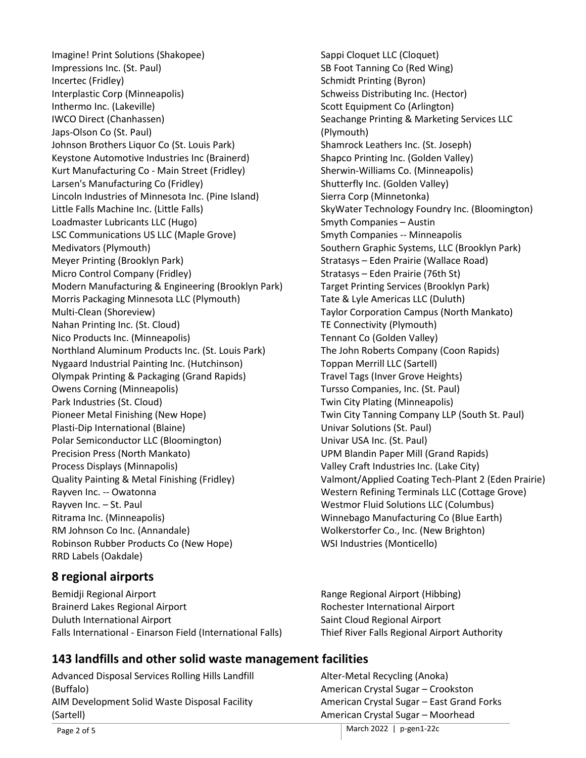Imagine! Print Solutions (Shakopee) Impressions Inc. (St. Paul) Incertec (Fridley) Interplastic Corp (Minneapolis) Inthermo Inc. (Lakeville) IWCO Direct (Chanhassen) Japs-Olson Co (St. Paul) Johnson Brothers Liquor Co (St. Louis Park) Keystone Automotive Industries Inc (Brainerd) Kurt Manufacturing Co - Main Street (Fridley) Larsen's Manufacturing Co (Fridley) Lincoln Industries of Minnesota Inc. (Pine Island) Little Falls Machine Inc. (Little Falls) Loadmaster Lubricants LLC (Hugo) LSC Communications US LLC (Maple Grove) Medivators (Plymouth) Meyer Printing (Brooklyn Park) Micro Control Company (Fridley) Modern Manufacturing & Engineering (Brooklyn Park) Morris Packaging Minnesota LLC (Plymouth) Multi-Clean (Shoreview) Nahan Printing Inc. (St. Cloud) Nico Products Inc. (Minneapolis) Northland Aluminum Products Inc. (St. Louis Park) Nygaard Industrial Painting Inc. (Hutchinson) Olympak Printing & Packaging (Grand Rapids) Owens Corning (Minneapolis) Park Industries (St. Cloud) Pioneer Metal Finishing (New Hope) Plasti-Dip International (Blaine) Polar Semiconductor LLC (Bloomington) Precision Press (North Mankato) Process Displays (Minnapolis) Quality Painting & Metal Finishing (Fridley) Rayven Inc. -- Owatonna Rayven Inc. – St. Paul Ritrama Inc. (Minneapolis) RM Johnson Co Inc. (Annandale) Robinson Rubber Products Co (New Hope) RRD Labels (Oakdale)

# **8 regional airports**

Bemidji Regional Airport Brainerd Lakes Regional Airport Duluth International Airport Falls International - Einarson Field (International Falls) Sappi Cloquet LLC (Cloquet) SB Foot Tanning Co (Red Wing) Schmidt Printing (Byron) Schweiss Distributing Inc. (Hector) Scott Equipment Co (Arlington) Seachange Printing & Marketing Services LLC (Plymouth) Shamrock Leathers Inc. (St. Joseph) Shapco Printing Inc. (Golden Valley) Sherwin-Williams Co. (Minneapolis) Shutterfly Inc. (Golden Valley) Sierra Corp (Minnetonka) SkyWater Technology Foundry Inc. (Bloomington) Smyth Companies – Austin Smyth Companies -- Minneapolis Southern Graphic Systems, LLC (Brooklyn Park) Stratasys – Eden Prairie (Wallace Road) Stratasys – Eden Prairie (76th St) Target Printing Services (Brooklyn Park) Tate & Lyle Americas LLC (Duluth) Taylor Corporation Campus (North Mankato) TE Connectivity (Plymouth) Tennant Co (Golden Valley) The John Roberts Company (Coon Rapids) Toppan Merrill LLC (Sartell) Travel Tags (Inver Grove Heights) Tursso Companies, Inc. (St. Paul) Twin City Plating (Minneapolis) Twin City Tanning Company LLP (South St. Paul) Univar Solutions (St. Paul) Univar USA Inc. (St. Paul) UPM Blandin Paper Mill (Grand Rapids) Valley Craft Industries Inc. (Lake City) Valmont/Applied Coating Tech-Plant 2 (Eden Prairie) Western Refining Terminals LLC (Cottage Grove) Westmor Fluid Solutions LLC (Columbus) Winnebago Manufacturing Co (Blue Earth) Wolkerstorfer Co., Inc. (New Brighton) WSI Industries (Monticello)

Range Regional Airport (Hibbing) Rochester International Airport Saint Cloud Regional Airport Thief River Falls Regional Airport Authority

# **143 landfills and other solid waste management facilities**

Advanced Disposal Services Rolling Hills Landfill (Buffalo) AIM Development Solid Waste Disposal Facility (Sartell)

Alter-Metal Recycling (Anoka) American Crystal Sugar – Crookston American Crystal Sugar – East Grand Forks American Crystal Sugar – Moorhead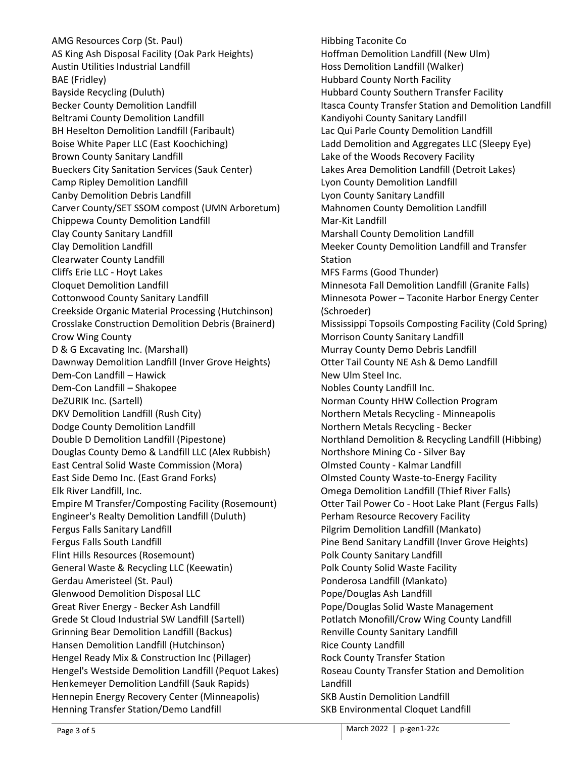AMG Resources Corp (St. Paul) AS King Ash Disposal Facility (Oak Park Heights) Austin Utilities Industrial Landfill BAE (Fridley) Bayside Recycling (Duluth) Becker County Demolition Landfill Beltrami County Demolition Landfill BH Heselton Demolition Landfill (Faribault) Boise White Paper LLC (East Koochiching) Brown County Sanitary Landfill Bueckers City Sanitation Services (Sauk Center) Camp Ripley Demolition Landfill Canby Demolition Debris Landfill Carver County/SET SSOM compost (UMN Arboretum) Chippewa County Demolition Landfill Clay County Sanitary Landfill Clay Demolition Landfill Clearwater County Landfill Cliffs Erie LLC - Hoyt Lakes Cloquet Demolition Landfill Cottonwood County Sanitary Landfill Creekside Organic Material Processing (Hutchinson) Crosslake Construction Demolition Debris (Brainerd) Crow Wing County D & G Excavating Inc. (Marshall) Dawnway Demolition Landfill (Inver Grove Heights) Dem-Con Landfill – Hawick Dem-Con Landfill – Shakopee DeZURIK Inc. (Sartell) DKV Demolition Landfill (Rush City) Dodge County Demolition Landfill Double D Demolition Landfill (Pipestone) Douglas County Demo & Landfill LLC (Alex Rubbish) East Central Solid Waste Commission (Mora) East Side Demo Inc. (East Grand Forks) Elk River Landfill, Inc. Empire M Transfer/Composting Facility (Rosemount) Engineer's Realty Demolition Landfill (Duluth) Fergus Falls Sanitary Landfill Fergus Falls South Landfill Flint Hills Resources (Rosemount) General Waste & Recycling LLC (Keewatin) Gerdau Ameristeel (St. Paul) Glenwood Demolition Disposal LLC Great River Energy - Becker Ash Landfill Grede St Cloud Industrial SW Landfill (Sartell) Grinning Bear Demolition Landfill (Backus) Hansen Demolition Landfill (Hutchinson) Hengel Ready Mix & Construction Inc (Pillager) Hengel's Westside Demolition Landfill (Pequot Lakes) Henkemeyer Demolition Landfill (Sauk Rapids) Hennepin Energy Recovery Center (Minneapolis) Henning Transfer Station/Demo Landfill

Hibbing Taconite Co Hoffman Demolition Landfill (New Ulm) Hoss Demolition Landfill (Walker) Hubbard County North Facility Hubbard County Southern Transfer Facility Itasca County Transfer Station and Demolition Landfill Kandiyohi County Sanitary Landfill Lac Qui Parle County Demolition Landfill Ladd Demolition and Aggregates LLC (Sleepy Eye) Lake of the Woods Recovery Facility Lakes Area Demolition Landfill (Detroit Lakes) Lyon County Demolition Landfill Lyon County Sanitary Landfill Mahnomen County Demolition Landfill Mar-Kit Landfill Marshall County Demolition Landfill Meeker County Demolition Landfill and Transfer **Station** MFS Farms (Good Thunder) Minnesota Fall Demolition Landfill (Granite Falls) Minnesota Power – Taconite Harbor Energy Center (Schroeder) Mississippi Topsoils Composting Facility (Cold Spring) Morrison County Sanitary Landfill Murray County Demo Debris Landfill Otter Tail County NE Ash & Demo Landfill New Ulm Steel Inc. Nobles County Landfill Inc. Norman County HHW Collection Program Northern Metals Recycling - Minneapolis Northern Metals Recycling - Becker Northland Demolition & Recycling Landfill (Hibbing) Northshore Mining Co - Silver Bay Olmsted County - Kalmar Landfill Olmsted County Waste-to-Energy Facility Omega Demolition Landfill (Thief River Falls) Otter Tail Power Co - Hoot Lake Plant (Fergus Falls) Perham Resource Recovery Facility Pilgrim Demolition Landfill (Mankato) Pine Bend Sanitary Landfill (Inver Grove Heights) Polk County Sanitary Landfill Polk County Solid Waste Facility Ponderosa Landfill (Mankato) Pope/Douglas Ash Landfill Pope/Douglas Solid Waste Management Potlatch Monofill/Crow Wing County Landfill Renville County Sanitary Landfill Rice County Landfill Rock County Transfer Station Roseau County Transfer Station and Demolition Landfill SKB Austin Demolition Landfill SKB Environmental Cloquet Landfill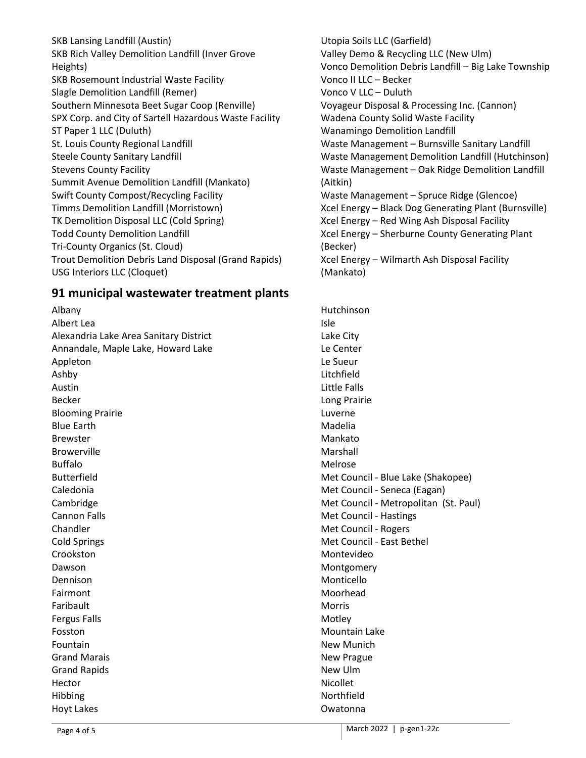SKB Lansing Landfill (Austin) SKB Rich Valley Demolition Landfill (Inver Grove Heights) SKB Rosemount Industrial Waste Facility Slagle Demolition Landfill (Remer) Southern Minnesota Beet Sugar Coop (Renville) SPX Corp. and City of Sartell Hazardous Waste Facility ST Paper 1 LLC (Duluth) St. Louis County Regional Landfill Steele County Sanitary Landfill Stevens County Facility Summit Avenue Demolition Landfill (Mankato) Swift County Compost/Recycling Facility Timms Demolition Landfill (Morristown) TK Demolition Disposal LLC (Cold Spring) Todd County Demolition Landfill Tri-County Organics (St. Cloud) Trout Demolition Debris Land Disposal (Grand Rapids) USG Interiors LLC (Cloquet)

### **91 municipal wastewater treatment plants**

Albany Albert Lea Alexandria Lake Area Sanitary District Annandale, Maple Lake, Howard Lake Appleton Ashby Austin Becker Blooming Prairie Blue Earth Brewster Browerville Buffalo Butterfield Caledonia Cambridge Cannon Falls Chandler Cold Springs Crookston Dawson Dennison Fairmont Faribault Fergus Falls Fosston Fountain Grand Marais Grand Rapids Hector Hibbing Hoyt Lakes

Utopia Soils LLC (Garfield) Valley Demo & Recycling LLC (New Ulm) Vonco Demolition Debris Landfill – Big Lake Township Vonco II LLC – Becker Vonco V LLC – Duluth Voyageur Disposal & Processing Inc. (Cannon) Wadena County Solid Waste Facility Wanamingo Demolition Landfill Waste Management – Burnsville Sanitary Landfill Waste Management Demolition Landfill (Hutchinson) Waste Management – Oak Ridge Demolition Landfill (Aitkin) Waste Management – Spruce Ridge (Glencoe) Xcel Energy – Black Dog Generating Plant (Burnsville) Xcel Energy – Red Wing Ash Disposal Facility Xcel Energy – Sherburne County Generating Plant (Becker) Xcel Energy – Wilmarth Ash Disposal Facility (Mankato)

Hutchinson Isle Lake City Le Center Le Sueur Litchfield Little Falls Long Prairie Luverne Madelia Mankato Marshall Melrose Met Council - Blue Lake (Shakopee) Met Council - Seneca (Eagan) Met Council - Metropolitan (St. Paul) Met Council - Hastings Met Council - Rogers Met Council - East Bethel Montevideo Montgomery Monticello Moorhead Morris Motley Mountain Lake New Munich New Prague New Ulm Nicollet Northfield Owatonna